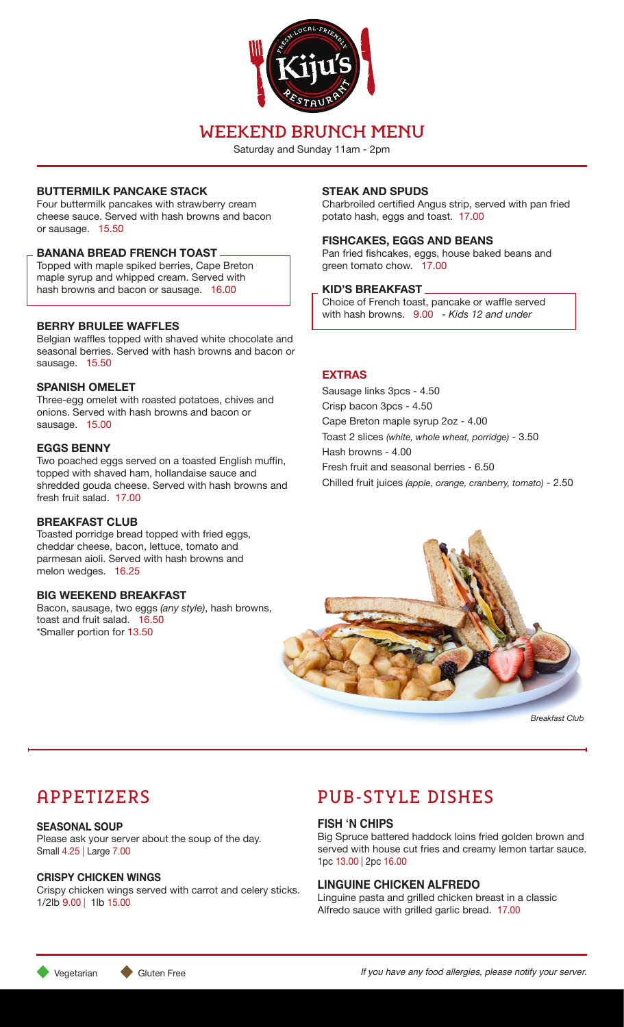

# WEEKEND BRUNCH MENU

Saturday and Sunday 11am - 2pm

#### **BUTTERMILK PANCAKE STACK**

Four buttermilk pancakes with strawberry cream cheese sauce. Served with hash browns and bacon or sausage. 15.50

#### **BANANA BREAD FRENCH TOAST**

Topped with maple spiked berries, Cape Breton maple syrup and whipped cream. Served with hash browns and bacon or sausage. 16.00

#### **BERRY BRULEE WAFFLES**

Belgian waffles topped with shaved white chocolate and seasonal berries. Served with hash browns and bacon or sausage. 15.50

#### **SPANISH OMELET**

Three-egg omelet with roasted potatoes, chives and onions. Served with hash browns and bacon or sausage. 15.00

#### **EGGS BENNY**

Two poached eggs served on a toasted English muffin, topped with shaved ham, hollandaise sauce and shredded gouda cheese. Served with hash browns and fresh fruit salad. 17.00

#### **BREAKFAST CLUB**

Toasted porridge bread topped with fried eggs, cheddar cheese, bacon, lettuce, tomato and parmesan aioli. Served with hash browns and melon wedges. 16.25

### **BIG WEEKEND BREAKFAST**

Bacon, sausage, two eggs *(any style)*, hash browns, toast and fruit salad. 16.50 \*Smaller portion for 13.50

#### **STEAK AND SPUDS**

Charbroiled certified Angus strip, served with pan fried potato hash, eggs and toast. 17.00

#### **FISHCAKES, EGGS AND BEANS**

Pan fried fishcakes, eggs, house baked beans and green tomato chow. 17.00

#### **KID'S BREAKFAST**

Choice of French toast, pancake or waffle served with hash browns. 9.00 - *Kids 12 and under*

#### **EXTRAS**

Sausage links 3pcs - 4.50 Crisp bacon 3pcs - 4.50 Cape Breton maple syrup 2oz - 4.00 Toast 2 slices *(white, whole wheat, porridge)* - 3.50 Hash browns - 4.00 Fresh fruit and seasonal berries - 6.50 Chilled fruit juices *(apple, orange, cranberry, tomato)* - 2.50



*Breakfast Club*

# APPETIZERS

#### **SEASONAL SOUP**

Please ask your server about the soup of the day. Small 4.25 | Large 7.00

#### **CRISPY CHICKEN WINGS**

Crispy chicken wings served with carrot and celery sticks. 1/2lb 9.00 | 1lb 15.00

# PUB-STYLE DISHES

#### **FISH 'N CHIPS**

Big Spruce battered haddock loins fried golden brown and served with house cut fries and creamy lemon tartar sauce. 1pc 13.00 | 2pc 16.00

### **LINGUINE CHICKEN ALFREDO**

Linguine pasta and grilled chicken breast in a classic Alfredo sauce with grilled garlic bread. 17.00